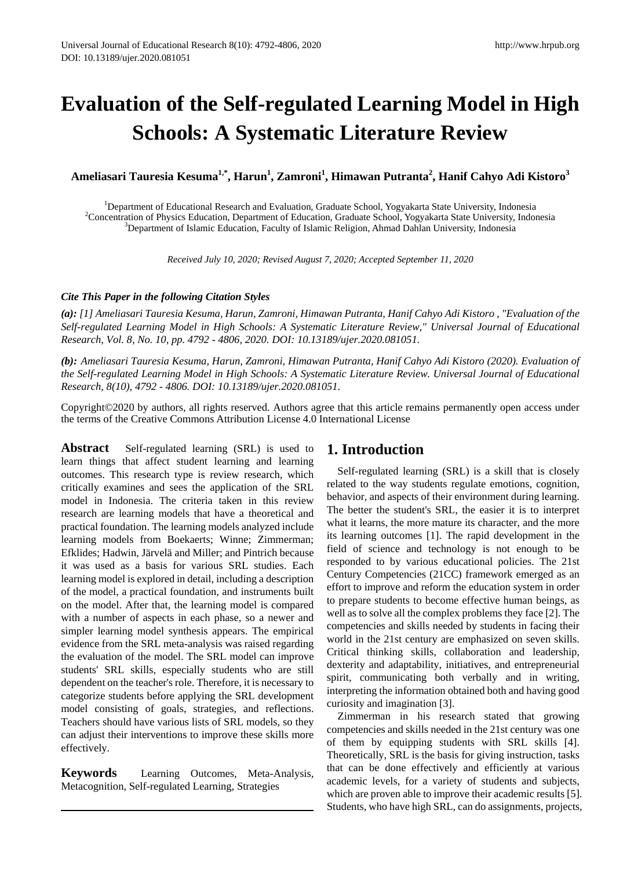# **Evaluation of the Self-regulated Learning Model in High Schools: A Systematic Literature Review**

**Ameliasari Tauresia Kesuma1,\*, Harun1 , Zamroni<sup>1</sup> , Himawan Putranta<sup>2</sup> , Hanif Cahyo Adi Kistoro<sup>3</sup>**

<sup>1</sup>Department of Educational Research and Evaluation, Graduate School, Yogyakarta State University, Indonesia<sup>2</sup>Concentration of Physics Education, Department of Education, Graduate School, Yogyakarta State University, Ind <sup>2</sup> Concentration of Physics Education, Department of Education, Graduate School, Yogyakarta State University, Indonesia  ${}^{3}$ Department of Islamic Education, Faculty of Islamic Religion, Ahmad Dahlan University, Indonesia

*Received July 10, 2020; Revised August 7, 2020; Accepted September 11, 2020*

#### *Cite This Paper in the following Citation Styles*

*(a): [1] Ameliasari Tauresia Kesuma, Harun, Zamroni, Himawan Putranta, Hanif Cahyo Adi Kistoro , "Evaluation of the Self-regulated Learning Model in High Schools: A Systematic Literature Review," Universal Journal of Educational Research, Vol. 8, No. 10, pp. 4792 - 4806, 2020. DOI: 10.13189/ujer.2020.081051.* 

*(b): Ameliasari Tauresia Kesuma, Harun, Zamroni, Himawan Putranta, Hanif Cahyo Adi Kistoro (2020). Evaluation of the Self-regulated Learning Model in High Schools: A Systematic Literature Review. Universal Journal of Educational Research, 8(10), 4792 - 4806. DOI: 10.13189/ujer.2020.081051.* 

Copyright©2020 by authors, all rights reserved. Authors agree that this article remains permanently open access under the terms of the Creative Commons Attribution License 4.0 International License

**Abstract** Self-regulated learning (SRL) is used to learn things that affect student learning and learning outcomes. This research type is review research, which critically examines and sees the application of the SRL model in Indonesia. The criteria taken in this review research are learning models that have a theoretical and practical foundation. The learning models analyzed include learning models from Boekaerts; Winne; Zimmerman; Efklides; Hadwin, Järvelä and Miller; and Pintrich because it was used as a basis for various SRL studies. Each learning model is explored in detail, including a description of the model, a practical foundation, and instruments built on the model. After that, the learning model is compared with a number of aspects in each phase, so a newer and simpler learning model synthesis appears. The empirical evidence from the SRL meta-analysis was raised regarding the evaluation of the model. The SRL model can improve students' SRL skills, especially students who are still dependent on the teacher's role. Therefore, it is necessary to categorize students before applying the SRL development model consisting of goals, strategies, and reflections. Teachers should have various lists of SRL models, so they can adjust their interventions to improve these skills more effectively.

**Keywords** Learning Outcomes, Meta-Analysis, Metacognition, Self-regulated Learning, Strategies

## **1. Introduction**

Self-regulated learning (SRL) is a skill that is closely related to the way students regulate emotions, cognition, behavior, and aspects of their environment during learning. The better the student's SRL, the easier it is to interpret what it learns, the more mature its character, and the more its learning outcomes [1]. The rapid development in the field of science and technology is not enough to be responded to by various educational policies. The 21st Century Competencies (21CC) framework emerged as an effort to improve and reform the education system in order to prepare students to become effective human beings, as well as to solve all the complex problems they face [2]. The competencies and skills needed by students in facing their world in the 21st century are emphasized on seven skills. Critical thinking skills, collaboration and leadership, dexterity and adaptability, initiatives, and entrepreneurial spirit, communicating both verbally and in writing, interpreting the information obtained both and having good curiosity and imagination [3].

Zimmerman in his research stated that growing competencies and skills needed in the 21st century was one of them by equipping students with SRL skills [4]. Theoretically, SRL is the basis for giving instruction, tasks that can be done effectively and efficiently at various academic levels, for a variety of students and subjects, which are proven able to improve their academic results [5]. Students, who have high SRL, can do assignments, projects,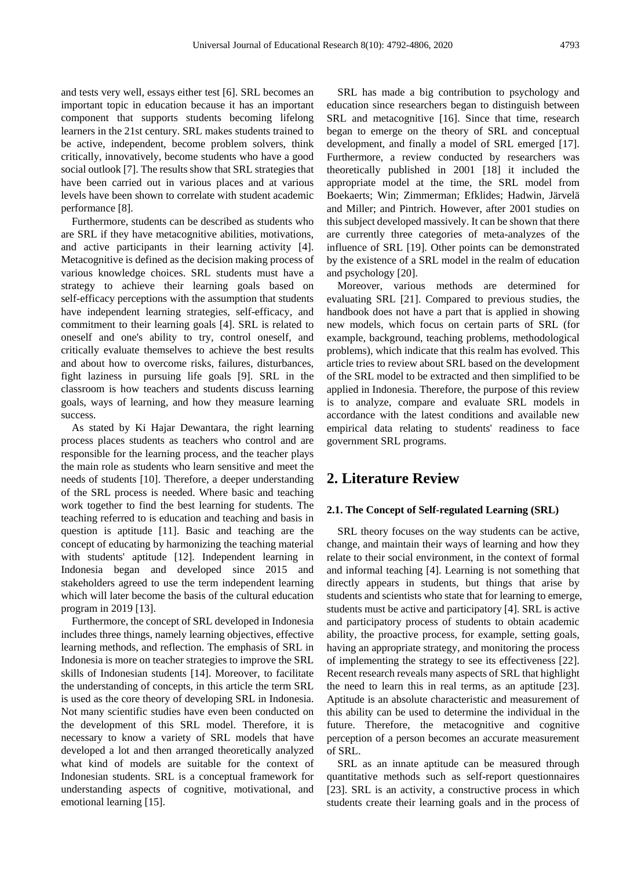and tests very well, essays either test [6]. SRL becomes an important topic in education because it has an important component that supports students becoming lifelong learners in the 21st century. SRL makes students trained to be active, independent, become problem solvers, think critically, innovatively, become students who have a good social outlook [7]. The results show that SRL strategies that have been carried out in various places and at various levels have been shown to correlate with student academic performance [8].

Furthermore, students can be described as students who are SRL if they have metacognitive abilities, motivations, and active participants in their learning activity [4]. Metacognitive is defined as the decision making process of various knowledge choices. SRL students must have a strategy to achieve their learning goals based on self-efficacy perceptions with the assumption that students have independent learning strategies, self-efficacy, and commitment to their learning goals [4]. SRL is related to oneself and one's ability to try, control oneself, and critically evaluate themselves to achieve the best results and about how to overcome risks, failures, disturbances, fight laziness in pursuing life goals [9]. SRL in the classroom is how teachers and students discuss learning goals, ways of learning, and how they measure learning success.

As stated by Ki Hajar Dewantara, the right learning process places students as teachers who control and are responsible for the learning process, and the teacher plays the main role as students who learn sensitive and meet the needs of students [10]. Therefore, a deeper understanding of the SRL process is needed. Where basic and teaching work together to find the best learning for students. The teaching referred to is education and teaching and basis in question is aptitude [11]. Basic and teaching are the concept of educating by harmonizing the teaching material with students' aptitude [12]. Independent learning in Indonesia began and developed since 2015 and stakeholders agreed to use the term independent learning which will later become the basis of the cultural education program in 2019 [13].

Furthermore, the concept of SRL developed in Indonesia includes three things, namely learning objectives, effective learning methods, and reflection. The emphasis of SRL in Indonesia is more on teacher strategies to improve the SRL skills of Indonesian students [14]. Moreover, to facilitate the understanding of concepts, in this article the term SRL is used as the core theory of developing SRL in Indonesia. Not many scientific studies have even been conducted on the development of this SRL model. Therefore, it is necessary to know a variety of SRL models that have developed a lot and then arranged theoretically analyzed what kind of models are suitable for the context of Indonesian students. SRL is a conceptual framework for understanding aspects of cognitive, motivational, and emotional learning [15].

SRL has made a big contribution to psychology and education since researchers began to distinguish between SRL and metacognitive [16]. Since that time, research began to emerge on the theory of SRL and conceptual development, and finally a model of SRL emerged [17]. Furthermore, a review conducted by researchers was theoretically published in 2001 [18] it included the appropriate model at the time, the SRL model from Boekaerts; Win; Zimmerman; Efklides; Hadwin, Järvelä and Miller; and Pintrich. However, after 2001 studies on this subject developed massively. It can be shown that there are currently three categories of meta-analyzes of the influence of SRL [19]. Other points can be demonstrated by the existence of a SRL model in the realm of education and psychology [20].

Moreover, various methods are determined for evaluating SRL [21]. Compared to previous studies, the handbook does not have a part that is applied in showing new models, which focus on certain parts of SRL (for example, background, teaching problems, methodological problems), which indicate that this realm has evolved. This article tries to review about SRL based on the development of the SRL model to be extracted and then simplified to be applied in Indonesia. Therefore, the purpose of this review is to analyze, compare and evaluate SRL models in accordance with the latest conditions and available new empirical data relating to students' readiness to face government SRL programs.

## **2. Literature Review**

#### **2.1. The Concept of Self-regulated Learning (SRL)**

SRL theory focuses on the way students can be active, change, and maintain their ways of learning and how they relate to their social environment, in the context of formal and informal teaching [4]. Learning is not something that directly appears in students, but things that arise by students and scientists who state that for learning to emerge, students must be active and participatory [4]. SRL is active and participatory process of students to obtain academic ability, the proactive process, for example, setting goals, having an appropriate strategy, and monitoring the process of implementing the strategy to see its effectiveness [22]. Recent research reveals many aspects of SRL that highlight the need to learn this in real terms, as an aptitude [23]. Aptitude is an absolute characteristic and measurement of this ability can be used to determine the individual in the future. Therefore, the metacognitive and cognitive perception of a person becomes an accurate measurement of SRL.

SRL as an innate aptitude can be measured through quantitative methods such as self-report questionnaires [23]. SRL is an activity, a constructive process in which students create their learning goals and in the process of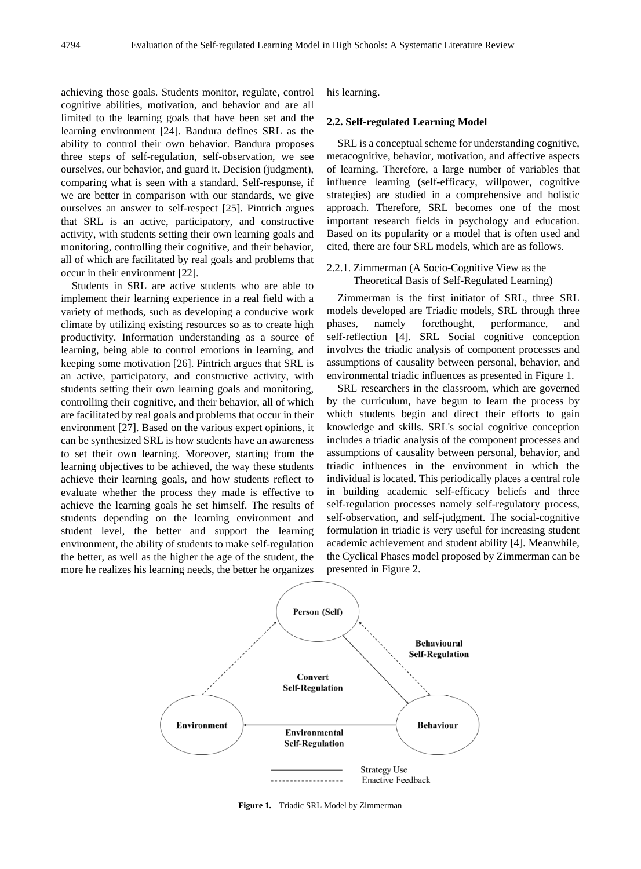achieving those goals. Students monitor, regulate, control cognitive abilities, motivation, and behavior and are all limited to the learning goals that have been set and the learning environment [24]. Bandura defines SRL as the ability to control their own behavior. Bandura proposes three steps of self-regulation, self-observation, we see ourselves, our behavior, and guard it. Decision (judgment), comparing what is seen with a standard. Self-response, if we are better in comparison with our standards, we give ourselves an answer to self-respect [25]. Pintrich argues that SRL is an active, participatory, and constructive activity, with students setting their own learning goals and monitoring, controlling their cognitive, and their behavior, all of which are facilitated by real goals and problems that occur in their environment [22].

Students in SRL are active students who are able to implement their learning experience in a real field with a variety of methods, such as developing a conducive work climate by utilizing existing resources so as to create high productivity. Information understanding as a source of learning, being able to control emotions in learning, and keeping some motivation [26]. Pintrich argues that SRL is an active, participatory, and constructive activity, with students setting their own learning goals and monitoring, controlling their cognitive, and their behavior, all of which are facilitated by real goals and problems that occur in their environment [27]. Based on the various expert opinions, it can be synthesized SRL is how students have an awareness to set their own learning. Moreover, starting from the learning objectives to be achieved, the way these students achieve their learning goals, and how students reflect to evaluate whether the process they made is effective to achieve the learning goals he set himself. The results of students depending on the learning environment and student level, the better and support the learning environment, the ability of students to make self-regulation the better, as well as the higher the age of the student, the more he realizes his learning needs, the better he organizes

his learning.

#### **2.2. Self-regulated Learning Model**

SRL is a conceptual scheme for understanding cognitive, metacognitive, behavior, motivation, and affective aspects of learning. Therefore, a large number of variables that influence learning (self-efficacy, willpower, cognitive strategies) are studied in a comprehensive and holistic approach. Therefore, SRL becomes one of the most important research fields in psychology and education. Based on its popularity or a model that is often used and cited, there are four SRL models, which are as follows.

#### 2.2.1. Zimmerman (A Socio-Cognitive View as the Theoretical Basis of Self-Regulated Learning)

Zimmerman is the first initiator of SRL, three SRL models developed are Triadic models, SRL through three phases, namely forethought, performance, self-reflection [4]. SRL Social cognitive conception involves the triadic analysis of component processes and assumptions of causality between personal, behavior, and environmental triadic influences as presented in Figure 1.

SRL researchers in the classroom, which are governed by the curriculum, have begun to learn the process by which students begin and direct their efforts to gain knowledge and skills. SRL's social cognitive conception includes a triadic analysis of the component processes and assumptions of causality between personal, behavior, and triadic influences in the environment in which the individual is located. This periodically places a central role in building academic self-efficacy beliefs and three self-regulation processes namely self-regulatory process, self-observation, and self-judgment. The social-cognitive formulation in triadic is very useful for increasing student academic achievement and student ability [4]. Meanwhile, the Cyclical Phases model proposed by Zimmerman can be presented in Figure 2.



**Figure 1.** Triadic SRL Model by Zimmerman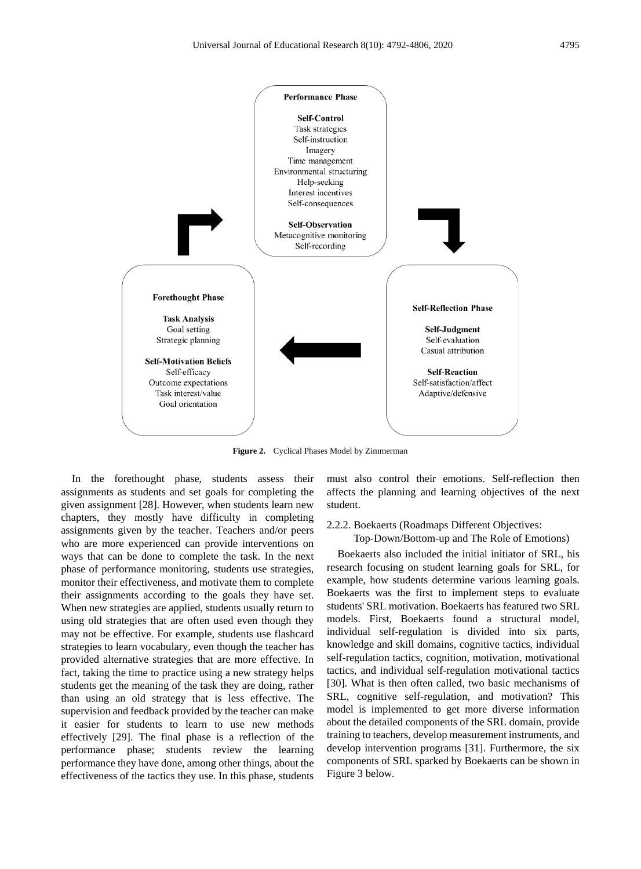



**Figure 2.** Cyclical Phases Model by Zimmerman

In the forethought phase, students assess their assignments as students and set goals for completing the given assignment [28]. However, when students learn new chapters, they mostly have difficulty in completing assignments given by the teacher. Teachers and/or peers who are more experienced can provide interventions on ways that can be done to complete the task. In the next phase of performance monitoring, students use strategies, monitor their effectiveness, and motivate them to complete their assignments according to the goals they have set. When new strategies are applied, students usually return to using old strategies that are often used even though they may not be effective. For example, students use flashcard strategies to learn vocabulary, even though the teacher has provided alternative strategies that are more effective. In fact, taking the time to practice using a new strategy helps students get the meaning of the task they are doing, rather than using an old strategy that is less effective. The supervision and feedback provided by the teacher can make it easier for students to learn to use new methods effectively [29]. The final phase is a reflection of the performance phase; students review the learning performance they have done, among other things, about the effectiveness of the tactics they use. In this phase, students

must also control their emotions. Self-reflection then affects the planning and learning objectives of the next student.

#### 2.2.2. Boekaerts (Roadmaps Different Objectives:

Top-Down/Bottom-up and The Role of Emotions)

Boekaerts also included the initial initiator of SRL, his research focusing on student learning goals for SRL, for example, how students determine various learning goals. Boekaerts was the first to implement steps to evaluate students' SRL motivation. Boekaerts has featured two SRL models. First, Boekaerts found a structural model, individual self-regulation is divided into six parts, knowledge and skill domains, cognitive tactics, individual self-regulation tactics, cognition, motivation, motivational tactics, and individual self-regulation motivational tactics [30]. What is then often called, two basic mechanisms of SRL, cognitive self-regulation, and motivation? This model is implemented to get more diverse information about the detailed components of the SRL domain, provide training to teachers, develop measurement instruments, and develop intervention programs [31]. Furthermore, the six components of SRL sparked by Boekaerts can be shown in Figure 3 below.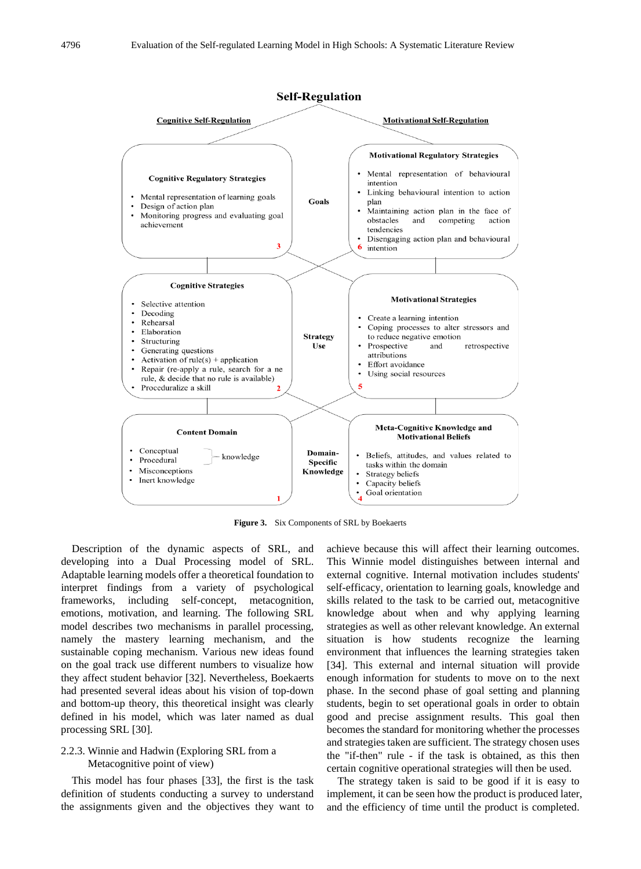

**Figure 3.** Six Components of SRL by Boekaerts

Description of the dynamic aspects of SRL, and developing into a Dual Processing model of SRL. Adaptable learning models offer a theoretical foundation to interpret findings from a variety of psychological frameworks, including self-concept, metacognition, emotions, motivation, and learning. The following SRL model describes two mechanisms in parallel processing, namely the mastery learning mechanism, and the sustainable coping mechanism. Various new ideas found on the goal track use different numbers to visualize how they affect student behavior [32]. Nevertheless, Boekaerts had presented several ideas about his vision of top-down and bottom-up theory, this theoretical insight was clearly defined in his model, which was later named as dual processing SRL [30].

#### 2.2.3. Winnie and Hadwin (Exploring SRL from a Metacognitive point of view)

This model has four phases [33], the first is the task definition of students conducting a survey to understand the assignments given and the objectives they want to

achieve because this will affect their learning outcomes. This Winnie model distinguishes between internal and external cognitive. Internal motivation includes students' self-efficacy, orientation to learning goals, knowledge and skills related to the task to be carried out, metacognitive knowledge about when and why applying learning strategies as well as other relevant knowledge. An external situation is how students recognize the learning environment that influences the learning strategies taken [34]. This external and internal situation will provide enough information for students to move on to the next phase. In the second phase of goal setting and planning students, begin to set operational goals in order to obtain good and precise assignment results. This goal then becomes the standard for monitoring whether the processes and strategies taken are sufficient. The strategy chosen uses the "if-then" rule - if the task is obtained, as this then certain cognitive operational strategies will then be used.

The strategy taken is said to be good if it is easy to implement, it can be seen how the product is produced later, and the efficiency of time until the product is completed.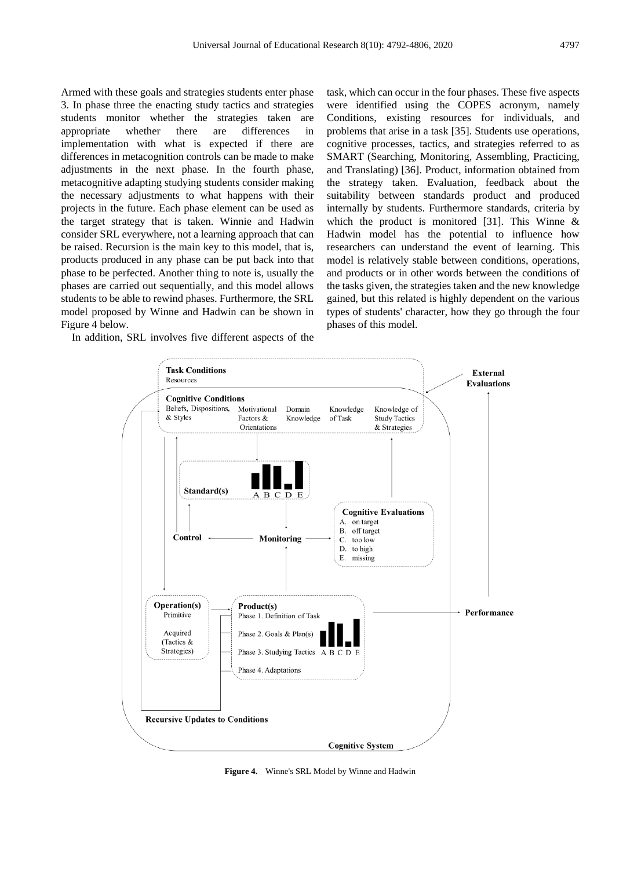Armed with these goals and strategies students enter phase 3. In phase three the enacting study tactics and strategies students monitor whether the strategies taken are appropriate whether there are differences in implementation with what is expected if there are differences in metacognition controls can be made to make adjustments in the next phase. In the fourth phase, metacognitive adapting studying students consider making the necessary adjustments to what happens with their projects in the future. Each phase element can be used as the target strategy that is taken. Winnie and Hadwin consider SRL everywhere, not a learning approach that can be raised. Recursion is the main key to this model, that is, products produced in any phase can be put back into that phase to be perfected. Another thing to note is, usually the phases are carried out sequentially, and this model allows students to be able to rewind phases. Furthermore, the SRL model proposed by Winne and Hadwin can be shown in Figure 4 below.

In addition, SRL involves five different aspects of the

task, which can occur in the four phases. These five aspects were identified using the COPES acronym, namely Conditions, existing resources for individuals, and problems that arise in a task [35]. Students use operations, cognitive processes, tactics, and strategies referred to as SMART (Searching, Monitoring, Assembling, Practicing, and Translating) [36]. Product, information obtained from the strategy taken. Evaluation, feedback about the suitability between standards product and produced internally by students. Furthermore standards, criteria by which the product is monitored [31]. This Winne & Hadwin model has the potential to influence how researchers can understand the event of learning. This model is relatively stable between conditions, operations, and products or in other words between the conditions of the tasks given, the strategies taken and the new knowledge gained, but this related is highly dependent on the various types of students' character, how they go through the four phases of this model.



**Figure 4.** Winne's SRL Model by Winne and Hadwin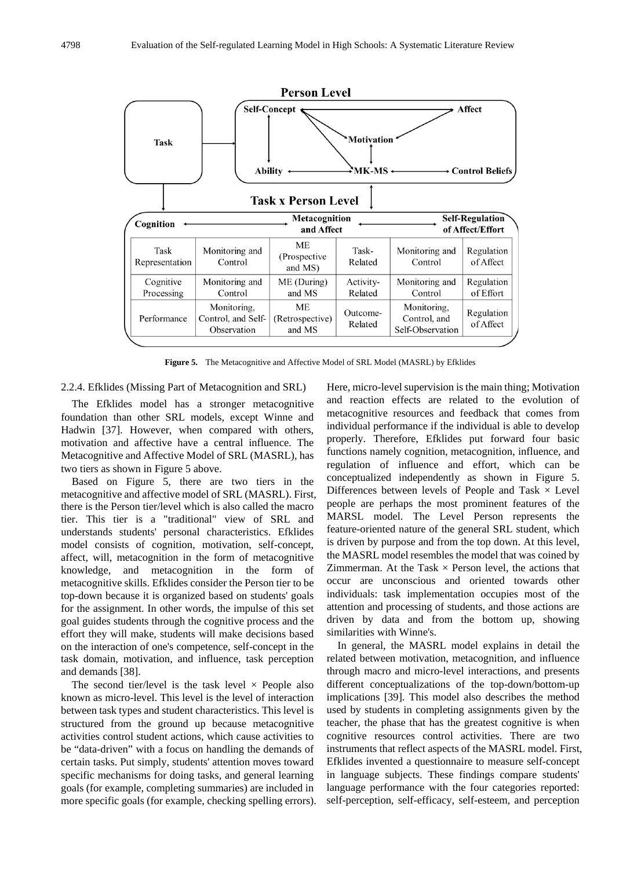

Figure 5. The Metacognitive and Affective Model of SRL Model (MASRL) by Efklides

2.2.4. Efklides (Missing Part of Metacognition and SRL)

The Efklides model has a stronger metacognitive foundation than other SRL models, except Winne and Hadwin [37]. However, when compared with others, motivation and affective have a central influence. The Metacognitive and Affective Model of SRL (MASRL), has two tiers as shown in Figure 5 above.

Based on Figure 5, there are two tiers in the metacognitive and affective model of SRL (MASRL). First, there is the Person tier/level which is also called the macro tier. This tier is a "traditional" view of SRL and understands students' personal characteristics. Efklides model consists of cognition, motivation, self-concept, affect, will, metacognition in the form of metacognitive knowledge, and metacognition in the form of metacognitive skills. Efklides consider the Person tier to be top-down because it is organized based on students' goals for the assignment. In other words, the impulse of this set goal guides students through the cognitive process and the effort they will make, students will make decisions based on the interaction of one's competence, self-concept in the task domain, motivation, and influence, task perception and demands [38].

The second tier/level is the task level  $\times$  People also known as micro-level. This level is the level of interaction between task types and student characteristics. This level is structured from the ground up because metacognitive activities control student actions, which cause activities to be "data-driven" with a focus on handling the demands of certain tasks. Put simply, students' attention moves toward specific mechanisms for doing tasks, and general learning goals (for example, completing summaries) are included in more specific goals (for example, checking spelling errors). Here, micro-level supervision is the main thing; Motivation and reaction effects are related to the evolution of metacognitive resources and feedback that comes from individual performance if the individual is able to develop properly. Therefore, Efklides put forward four basic functions namely cognition, metacognition, influence, and regulation of influence and effort, which can be conceptualized independently as shown in Figure 5. Differences between levels of People and Task  $\times$  Level people are perhaps the most prominent features of the MARSL model. The Level Person represents the feature-oriented nature of the general SRL student, which is driven by purpose and from the top down. At this level, the MASRL model resembles the model that was coined by Zimmerman. At the Task  $\times$  Person level, the actions that occur are unconscious and oriented towards other individuals: task implementation occupies most of the attention and processing of students, and those actions are driven by data and from the bottom up, showing similarities with Winne's.

In general, the MASRL model explains in detail the related between motivation, metacognition, and influence through macro and micro-level interactions, and presents different conceptualizations of the top-down/bottom-up implications [39]. This model also describes the method used by students in completing assignments given by the teacher, the phase that has the greatest cognitive is when cognitive resources control activities. There are two instruments that reflect aspects of the MASRL model. First, Efklides invented a questionnaire to measure self-concept in language subjects. These findings compare students' language performance with the four categories reported: self-perception, self-efficacy, self-esteem, and perception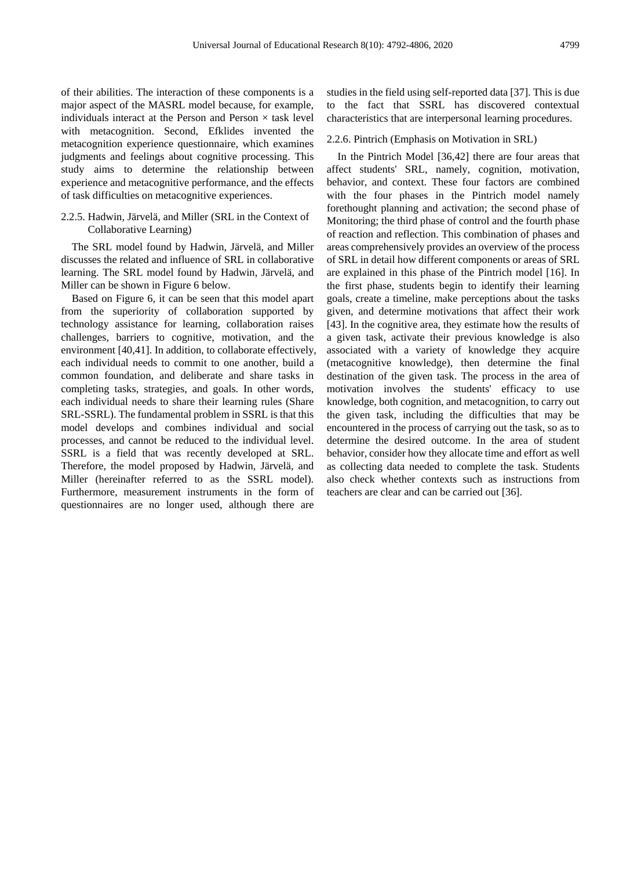of their abilities. The interaction of these components is a major aspect of the MASRL model because, for example, individuals interact at the Person and Person  $\times$  task level with metacognition. Second, Efklides invented the metacognition experience questionnaire, which examines judgments and feelings about cognitive processing. This study aims to determine the relationship between experience and metacognitive performance, and the effects of task difficulties on metacognitive experiences.

#### 2.2.5. Hadwin, Järvelä, and Miller (SRL in the Context of Collaborative Learning)

The SRL model found by Hadwin, Järvelä, and Miller discusses the related and influence of SRL in collaborative learning. The SRL model found by Hadwin, Järvelä, and Miller can be shown in Figure 6 below.

Based on Figure 6, it can be seen that this model apart from the superiority of collaboration supported by technology assistance for learning, collaboration raises challenges, barriers to cognitive, motivation, and the environment [40,41]. In addition, to collaborate effectively, each individual needs to commit to one another, build a common foundation, and deliberate and share tasks in completing tasks, strategies, and goals. In other words, each individual needs to share their learning rules (Share SRL-SSRL). The fundamental problem in SSRL is that this model develops and combines individual and social processes, and cannot be reduced to the individual level. SSRL is a field that was recently developed at SRL. Therefore, the model proposed by Hadwin, Järvelä, and Miller (hereinafter referred to as the SSRL model). Furthermore, measurement instruments in the form of questionnaires are no longer used, although there are

studies in the field using self-reported data [37]. This is due to the fact that SSRL has discovered contextual characteristics that are interpersonal learning procedures.

#### 2.2.6. Pintrich (Emphasis on Motivation in SRL)

In the Pintrich Model [36,42] there are four areas that affect students' SRL, namely, cognition, motivation, behavior, and context. These four factors are combined with the four phases in the Pintrich model namely forethought planning and activation; the second phase of Monitoring; the third phase of control and the fourth phase of reaction and reflection. This combination of phases and areas comprehensively provides an overview of the process of SRL in detail how different components or areas of SRL are explained in this phase of the Pintrich model [16]. In the first phase, students begin to identify their learning goals, create a timeline, make perceptions about the tasks given, and determine motivations that affect their work [43]. In the cognitive area, they estimate how the results of a given task, activate their previous knowledge is also associated with a variety of knowledge they acquire (metacognitive knowledge), then determine the final destination of the given task. The process in the area of motivation involves the students' efficacy to use knowledge, both cognition, and metacognition, to carry out the given task, including the difficulties that may be encountered in the process of carrying out the task, so as to determine the desired outcome. In the area of student behavior, consider how they allocate time and effort as well as collecting data needed to complete the task. Students also check whether contexts such as instructions from teachers are clear and can be carried out [36].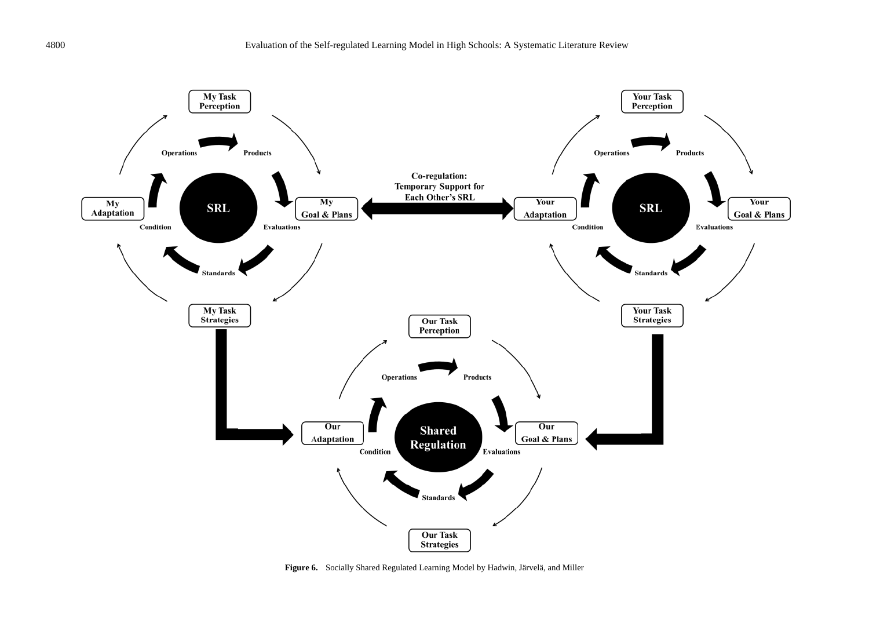

**Figure 6.** Socially Shared Regulated Learning Model by Hadwin, Järvelä, and Miller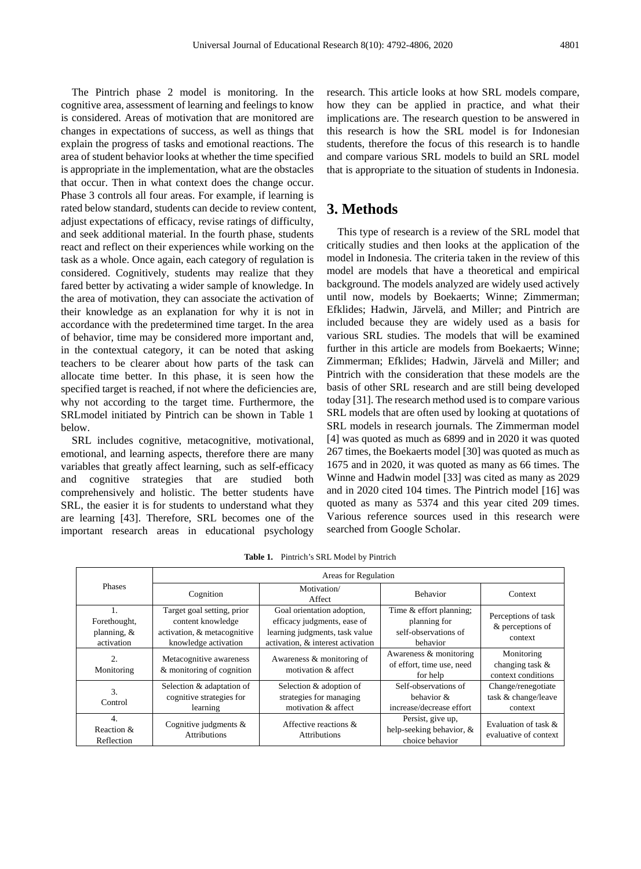The Pintrich phase 2 model is monitoring. In the cognitive area, assessment of learning and feelings to know is considered. Areas of motivation that are monitored are changes in expectations of success, as well as things that explain the progress of tasks and emotional reactions. The area of student behavior looks at whether the time specified is appropriate in the implementation, what are the obstacles that occur. Then in what context does the change occur. Phase 3 controls all four areas. For example, if learning is rated below standard, students can decide to review content, adjust expectations of efficacy, revise ratings of difficulty, and seek additional material. In the fourth phase, students react and reflect on their experiences while working on the task as a whole. Once again, each category of regulation is considered. Cognitively, students may realize that they fared better by activating a wider sample of knowledge. In the area of motivation, they can associate the activation of their knowledge as an explanation for why it is not in accordance with the predetermined time target. In the area of behavior, time may be considered more important and, in the contextual category, it can be noted that asking teachers to be clearer about how parts of the task can allocate time better. In this phase, it is seen how the specified target is reached, if not where the deficiencies are, why not according to the target time. Furthermore, the SRLmodel initiated by Pintrich can be shown in Table 1 below.

SRL includes cognitive, metacognitive, motivational, emotional, and learning aspects, therefore there are many variables that greatly affect learning, such as self-efficacy and cognitive strategies that are studied both comprehensively and holistic. The better students have SRL, the easier it is for students to understand what they are learning [43]. Therefore, SRL becomes one of the important research areas in educational psychology

research. This article looks at how SRL models compare, how they can be applied in practice, and what their implications are. The research question to be answered in this research is how the SRL model is for Indonesian students, therefore the focus of this research is to handle and compare various SRL models to build an SRL model that is appropriate to the situation of students in Indonesia.

## **3. Methods**

This type of research is a review of the SRL model that critically studies and then looks at the application of the model in Indonesia. The criteria taken in the review of this model are models that have a theoretical and empirical background. The models analyzed are widely used actively until now, models by Boekaerts; Winne; Zimmerman; Efklides; Hadwin, Järvelä, and Miller; and Pintrich are included because they are widely used as a basis for various SRL studies. The models that will be examined further in this article are models from Boekaerts; Winne; Zimmerman; Efklides; Hadwin, Järvelä and Miller; and Pintrich with the consideration that these models are the basis of other SRL research and are still being developed today [31]. The research method used is to compare various SRL models that are often used by looking at quotations of SRL models in research journals. The Zimmerman model [4] was quoted as much as 6899 and in 2020 it was quoted 267 times, the Boekaerts model [30] was quoted as much as 1675 and in 2020, it was quoted as many as 66 times. The Winne and Hadwin model [33] was cited as many as 2029 and in 2020 cited 104 times. The Pintrich model [16] was quoted as many as 5374 and this year cited 209 times. Various reference sources used in this research were searched from Google Scholar.

| <b>Phases</b>                                | Areas for Regulation                                                                                   |                                                                                                                                  |                                                                                    |                                                      |  |
|----------------------------------------------|--------------------------------------------------------------------------------------------------------|----------------------------------------------------------------------------------------------------------------------------------|------------------------------------------------------------------------------------|------------------------------------------------------|--|
|                                              | Cognition                                                                                              | Motivation/<br>Affect                                                                                                            | <b>Behavior</b>                                                                    | Context                                              |  |
| Forethought,<br>planning, $\&$<br>activation | Target goal setting, prior<br>content knowledge<br>activation, & metacognitive<br>knowledge activation | Goal orientation adoption,<br>efficacy judgments, ease of<br>learning judgments, task value<br>activation, & interest activation | Time & effort planning;<br>planning for<br>self-observations of<br><b>behavior</b> | Perceptions of task<br>& perceptions of<br>context   |  |
| 2.<br>Monitoring                             | Metacognitive awareness<br>& monitoring of cognition                                                   | Awareness & monitoring of<br>motivation & affect                                                                                 | Awareness & monitoring<br>of effort, time use, need<br>for help                    | Monitoring<br>changing task &<br>context conditions  |  |
| 3.<br>Control                                | Selection & adaptation of<br>cognitive strategies for<br>learning                                      | Selection & adoption of<br>strategies for managing<br>motivation & affect                                                        | Self-observations of<br>behavior $\&$<br>increase/decrease effort                  | Change/renegotiate<br>task & change/leave<br>context |  |
| 4.<br>Reaction &<br>Reflection               | Cognitive judgments $\&$<br><b>Attributions</b>                                                        | Affective reactions &<br><b>Attributions</b>                                                                                     | Persist, give up,<br>help-seeking behavior, &<br>choice behavior                   | Evaluation of task $\&$<br>evaluative of context     |  |

**Table 1.** Pintrich's SRL Model by Pintrich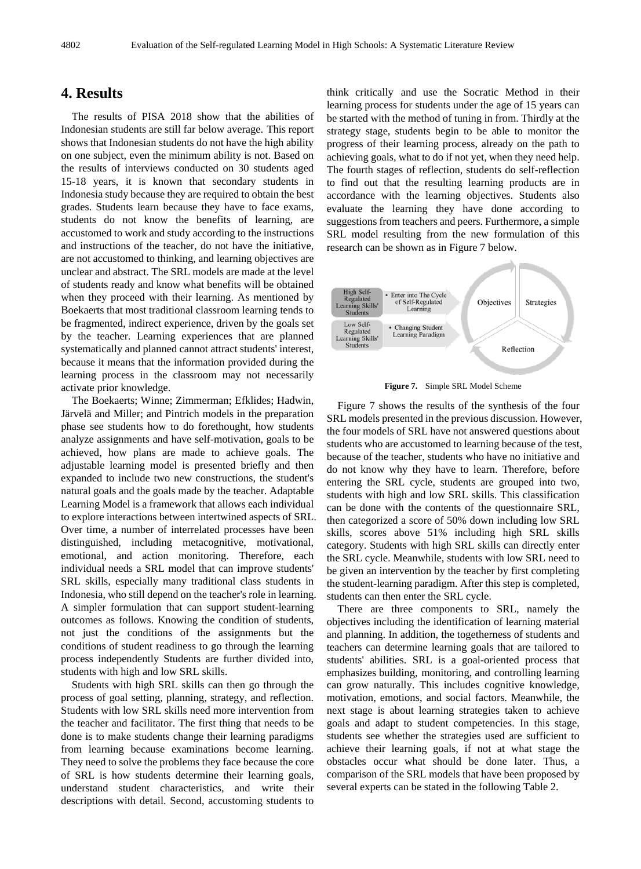## **4. Results**

The results of PISA 2018 show that the abilities of Indonesian students are still far below average. This report shows that Indonesian students do not have the high ability on one subject, even the minimum ability is not. Based on the results of interviews conducted on 30 students aged 15-18 years, it is known that secondary students in Indonesia study because they are required to obtain the best grades. Students learn because they have to face exams, students do not know the benefits of learning, are accustomed to work and study according to the instructions and instructions of the teacher, do not have the initiative, are not accustomed to thinking, and learning objectives are unclear and abstract. The SRL models are made at the level of students ready and know what benefits will be obtained when they proceed with their learning. As mentioned by Boekaerts that most traditional classroom learning tends to be fragmented, indirect experience, driven by the goals set by the teacher. Learning experiences that are planned systematically and planned cannot attract students' interest, because it means that the information provided during the learning process in the classroom may not necessarily activate prior knowledge.

The Boekaerts; Winne; Zimmerman; Efklides; Hadwin, Järvelä and Miller; and Pintrich models in the preparation phase see students how to do forethought, how students analyze assignments and have self-motivation, goals to be achieved, how plans are made to achieve goals. The adjustable learning model is presented briefly and then expanded to include two new constructions, the student's natural goals and the goals made by the teacher. Adaptable Learning Model is a framework that allows each individual to explore interactions between intertwined aspects of SRL. Over time, a number of interrelated processes have been distinguished, including metacognitive, motivational, emotional, and action monitoring. Therefore, each individual needs a SRL model that can improve students' SRL skills, especially many traditional class students in Indonesia, who still depend on the teacher's role in learning. A simpler formulation that can support student-learning outcomes as follows. Knowing the condition of students, not just the conditions of the assignments but the conditions of student readiness to go through the learning process independently Students are further divided into, students with high and low SRL skills.

Students with high SRL skills can then go through the process of goal setting, planning, strategy, and reflection. Students with low SRL skills need more intervention from the teacher and facilitator. The first thing that needs to be done is to make students change their learning paradigms from learning because examinations become learning. They need to solve the problems they face because the core of SRL is how students determine their learning goals, understand student characteristics, and write their descriptions with detail. Second, accustoming students to

think critically and use the Socratic Method in their learning process for students under the age of 15 years can be started with the method of tuning in from. Thirdly at the strategy stage, students begin to be able to monitor the progress of their learning process, already on the path to achieving goals, what to do if not yet, when they need help. The fourth stages of reflection, students do self-reflection to find out that the resulting learning products are in accordance with the learning objectives. Students also evaluate the learning they have done according to suggestions from teachers and peers. Furthermore, a simple SRL model resulting from the new formulation of this research can be shown as in Figure 7 below.



**Figure 7.** Simple SRL Model Scheme

Figure 7 shows the results of the synthesis of the four SRL models presented in the previous discussion. However, the four models of SRL have not answered questions about students who are accustomed to learning because of the test, because of the teacher, students who have no initiative and do not know why they have to learn. Therefore, before entering the SRL cycle, students are grouped into two, students with high and low SRL skills. This classification can be done with the contents of the questionnaire SRL, then categorized a score of 50% down including low SRL skills, scores above 51% including high SRL skills category. Students with high SRL skills can directly enter the SRL cycle. Meanwhile, students with low SRL need to be given an intervention by the teacher by first completing the student-learning paradigm. After this step is completed, students can then enter the SRL cycle.

There are three components to SRL, namely the objectives including the identification of learning material and planning. In addition, the togetherness of students and teachers can determine learning goals that are tailored to students' abilities. SRL is a goal-oriented process that emphasizes building, monitoring, and controlling learning can grow naturally. This includes cognitive knowledge, motivation, emotions, and social factors. Meanwhile, the next stage is about learning strategies taken to achieve goals and adapt to student competencies. In this stage, students see whether the strategies used are sufficient to achieve their learning goals, if not at what stage the obstacles occur what should be done later. Thus, a comparison of the SRL models that have been proposed by several experts can be stated in the following Table 2.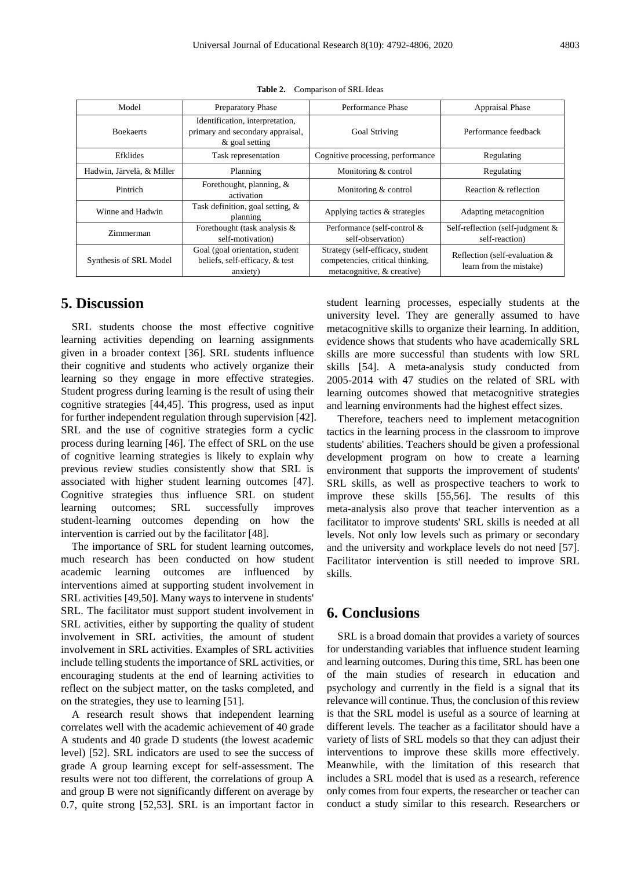| Model                     | <b>Preparatory Phase</b>                                                              | Performance Phase                                                                                  | <b>Appraisal Phase</b>                                   |
|---------------------------|---------------------------------------------------------------------------------------|----------------------------------------------------------------------------------------------------|----------------------------------------------------------|
| <b>Boekaerts</b>          | Identification, interpretation,<br>primary and secondary appraisal,<br>& goal setting | <b>Goal Striving</b>                                                                               | Performance feedback                                     |
| Efklides                  | Task representation                                                                   | Cognitive processing, performance                                                                  | Regulating                                               |
| Hadwin, Järvelä, & Miller | Planning                                                                              | Monitoring & control                                                                               | Regulating                                               |
| Pintrich                  | Forethought, planning, &<br>activation                                                | Monitoring & control                                                                               | Reaction & reflection                                    |
| Winne and Hadwin          | Task definition, goal setting, $\&$<br>planning                                       | Applying tactics & strategies                                                                      | Adapting metacognition                                   |
| Zimmerman                 | Forethought (task analysis &<br>self-motivation)                                      | Performance (self-control &<br>self-observation)                                                   | Self-reflection (self-judgment &<br>self-reaction)       |
| Synthesis of SRL Model    | Goal (goal orientation, student<br>beliefs, self-efficacy, & test<br>anxiety)         | Strategy (self-efficacy, student<br>competencies, critical thinking,<br>metacognitive, & creative) | Reflection (self-evaluation &<br>learn from the mistake) |

**Table 2.** Comparison of SRL Ideas

## **5. Discussion**

SRL students choose the most effective cognitive learning activities depending on learning assignments given in a broader context [36]. SRL students influence their cognitive and students who actively organize their learning so they engage in more effective strategies. Student progress during learning is the result of using their cognitive strategies [44,45]. This progress, used as input for further independent regulation through supervision [42]. SRL and the use of cognitive strategies form a cyclic process during learning [46]. The effect of SRL on the use of cognitive learning strategies is likely to explain why previous review studies consistently show that SRL is associated with higher student learning outcomes [47]. Cognitive strategies thus influence SRL on student learning outcomes; SRL successfully improves student-learning outcomes depending on how the intervention is carried out by the facilitator [48].

The importance of SRL for student learning outcomes, much research has been conducted on how student academic learning outcomes are influenced by interventions aimed at supporting student involvement in SRL activities [49,50]. Many ways to intervene in students' SRL. The facilitator must support student involvement in SRL activities, either by supporting the quality of student involvement in SRL activities, the amount of student involvement in SRL activities. Examples of SRL activities include telling students the importance of SRL activities, or encouraging students at the end of learning activities to reflect on the subject matter, on the tasks completed, and on the strategies, they use to learning [51].

A research result shows that independent learning correlates well with the academic achievement of 40 grade A students and 40 grade D students (the lowest academic level) [52]. SRL indicators are used to see the success of grade A group learning except for self-assessment. The results were not too different, the correlations of group A and group B were not significantly different on average by 0.7, quite strong [52,53]. SRL is an important factor in

student learning processes, especially students at the university level. They are generally assumed to have metacognitive skills to organize their learning. In addition, evidence shows that students who have academically SRL skills are more successful than students with low SRL skills [54]. A meta-analysis study conducted from 2005-2014 with 47 studies on the related of SRL with learning outcomes showed that metacognitive strategies and learning environments had the highest effect sizes.

Therefore, teachers need to implement metacognition tactics in the learning process in the classroom to improve students' abilities. Teachers should be given a professional development program on how to create a learning environment that supports the improvement of students' SRL skills, as well as prospective teachers to work to improve these skills [55,56]. The results of this meta-analysis also prove that teacher intervention as a facilitator to improve students' SRL skills is needed at all levels. Not only low levels such as primary or secondary and the university and workplace levels do not need [57]. Facilitator intervention is still needed to improve SRL skills.

## **6. Conclusions**

SRL is a broad domain that provides a variety of sources for understanding variables that influence student learning and learning outcomes. During this time, SRL has been one of the main studies of research in education and psychology and currently in the field is a signal that its relevance will continue. Thus, the conclusion of this review is that the SRL model is useful as a source of learning at different levels. The teacher as a facilitator should have a variety of lists of SRL models so that they can adjust their interventions to improve these skills more effectively. Meanwhile, with the limitation of this research that includes a SRL model that is used as a research, reference only comes from four experts, the researcher or teacher can conduct a study similar to this research. Researchers or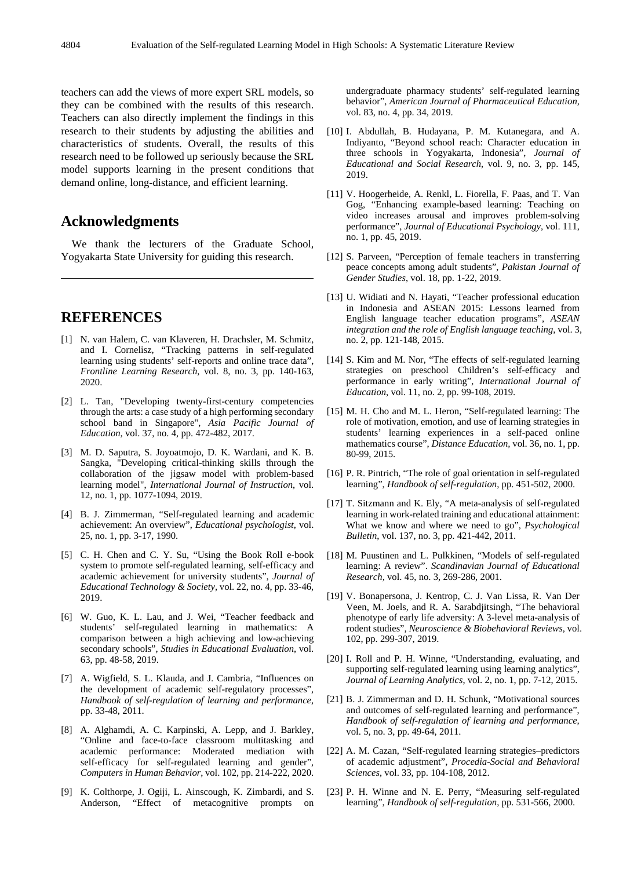teachers can add the views of more expert SRL models, so they can be combined with the results of this research. Teachers can also directly implement the findings in this research to their students by adjusting the abilities and characteristics of students. Overall, the results of this research need to be followed up seriously because the SRL model supports learning in the present conditions that demand online, long-distance, and efficient learning.

# **Acknowledgments**

We thank the lecturers of the Graduate School, Yogyakarta State University for guiding this research.

# **REFERENCES**

- [1] N. van Halem, C. van Klaveren, H. Drachsler, M. Schmitz, and I. Cornelisz, "Tracking patterns in self-regulated learning using students' self-reports and online trace data", *Frontline Learning Research,* vol. 8, no. 3, pp. 140-163, 2020.
- [2] L. Tan, "Developing twenty-first-century competencies through the arts: a case study of a high performing secondary school band in Singapore", *Asia Pacific Journal of Education,* vol. 37, no. 4, pp. 472-482, 2017.
- [3] M. D. Saputra, S. Joyoatmojo, D. K. Wardani, and K. B. Sangka, "Developing critical-thinking skills through the collaboration of the jigsaw model with problem-based learning model", *International Journal of Instruction*, vol. 12, no. 1, pp. 1077-1094, 2019.
- [4] B. J. Zimmerman, "Self-regulated learning and academic achievement: An overview", *Educational psychologist*, vol. 25, no. 1, pp. 3-17, 1990.
- [5] C. H. Chen and C. Y. Su, "Using the Book Roll e-book system to promote self-regulated learning, self-efficacy and academic achievement for university students", *Journal of Educational Technology & Society*, vol. 22, no. 4, pp. 33-46, 2019.
- [6] W. Guo, K. L. Lau, and J. Wei, "Teacher feedback and students' self-regulated learning in mathematics: A comparison between a high achieving and low-achieving secondary schools", *Studies in Educational Evaluation*, vol. 63, pp. 48-58, 2019.
- [7] A. Wigfield, S. L. Klauda, and J. Cambria, "Influences on the development of academic self-regulatory processes", *Handbook of self-regulation of learning and performance*, pp. 33-48, 2011.
- [8] A. Alghamdi, A. C. Karpinski, A. Lepp, and J. Barkley, "Online and face-to-face classroom multitasking and academic performance: Moderated mediation with self-efficacy for self-regulated learning and gender", *Computers in Human Behavior*, vol. 102, pp. 214-222, 2020.
- [9] K. Colthorpe, J. Ogiji, L. Ainscough, K. Zimbardi, and S. Anderson, "Effect of metacognitive prompts on

undergraduate pharmacy students' self-regulated learning behavior", *American Journal of Pharmaceutical Education,*  vol. 83, no. 4, pp. 34, 2019.

- [10] I. Abdullah, B. Hudayana, P. M. Kutanegara, and A. Indiyanto, "Beyond school reach: Character education in three schools in Yogyakarta, Indonesia", *Journal of Educational and Social Research*, vol. 9, no. 3, pp. 145, 2019.
- [11] V. Hoogerheide, A. Renkl, L. Fiorella, F. Paas, and T. Van Gog, "Enhancing example-based learning: Teaching on video increases arousal and improves problem-solving performance", *Journal of Educational Psychology*, vol. 111, no. 1, pp. 45, 2019.
- [12] S. Parveen, "Perception of female teachers in transferring peace concepts among adult students", *Pakistan Journal of Gender Studies*, vol. 18, pp. 1-22, 2019.
- [13] U. Widiati and N. Hayati, "Teacher professional education in Indonesia and ASEAN 2015: Lessons learned from English language teacher education programs", *ASEAN integration and the role of English language teaching*, vol. 3, no. 2, pp. 121-148, 2015.
- [14] S. Kim and M. Nor, "The effects of self-regulated learning strategies on preschool Children's self-efficacy and performance in early writing", *International Journal of Education*, vol. 11, no. 2, pp. 99-108, 2019.
- [15] M. H. Cho and M. L. Heron, "Self-regulated learning: The role of motivation, emotion, and use of learning strategies in students' learning experiences in a self-paced online mathematics course", *Distance Education,* vol. 36, no. 1, pp. 80-99, 2015.
- [16] P. R. Pintrich, "The role of goal orientation in self-regulated learning", *Handbook of self-regulation*, pp. 451-502, 2000.
- [17] T. Sitzmann and K. Ely, "A meta-analysis of self-regulated learning in work-related training and educational attainment: What we know and where we need to go", *Psychological Bulletin*, vol. 137, no. 3, pp. 421-442, 2011.
- [18] M. Puustinen and L. Pulkkinen, "Models of self-regulated learning: A review". *Scandinavian Journal of Educational Research,* vol. 45, no. 3, 269-286, 2001.
- [19] V. Bonapersona, J. Kentrop, C. J. Van Lissa, R. Van Der Veen, M. Joels, and R. A. Sarabdjitsingh, "The behavioral phenotype of early life adversity: A 3-level meta-analysis of rodent studies", *Neuroscience & Biobehavioral Reviews*, vol. 102, pp. 299-307, 2019.
- [20] I. Roll and P. H. Winne, "Understanding, evaluating, and supporting self-regulated learning using learning analytics", *Journal of Learning Analytics*, vol. 2, no. 1, pp. 7-12, 2015.
- [21] B. J. Zimmerman and D. H. Schunk, "Motivational sources and outcomes of self-regulated learning and performance", *Handbook of self-regulation of learning and performance,*  vol. 5, no. 3, pp. 49-64, 2011.
- [22] A. M. Cazan, "Self-regulated learning strategies–predictors of academic adjustment", *Procedia-Social and Behavioral Sciences*, vol. 33, pp. 104-108, 2012.
- [23] P. H. Winne and N. E. Perry, "Measuring self-regulated learning", *Handbook of self-regulation*, pp. 531-566, 2000.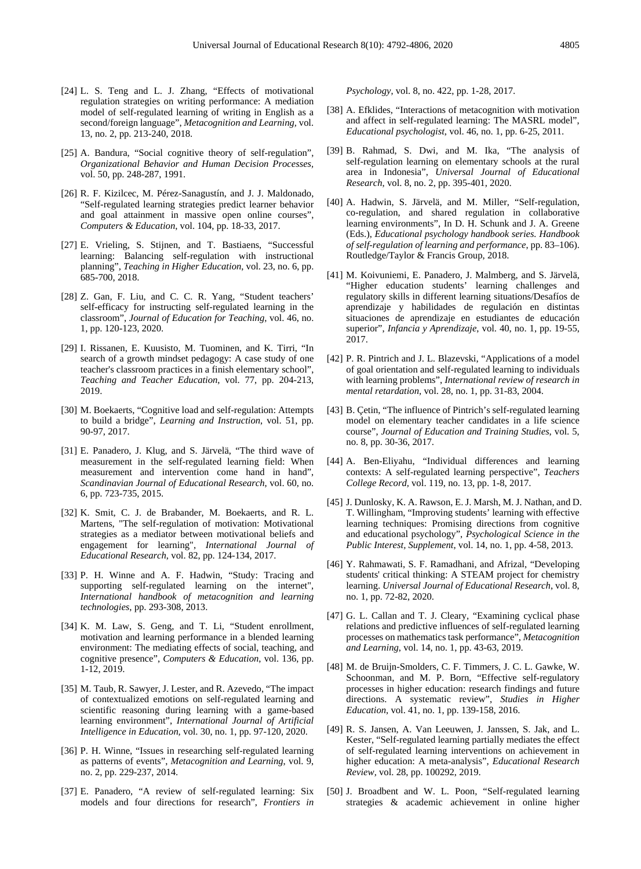- [24] L. S. Teng and L. J. Zhang, "Effects of motivational regulation strategies on writing performance: A mediation model of self-regulated learning of writing in English as a second/foreign language", *Metacognition and Learning,* vol. 13, no. 2, pp. 213-240, 2018.
- [25] A. Bandura, "Social cognitive theory of self-regulation", *Organizational Behavior and Human Decision Processes,*  vol. 50, pp. 248-287, 1991.
- [26] R. F. Kizilcec, M. Pérez-Sanagustín, and J. J. Maldonado, "Self-regulated learning strategies predict learner behavior and goal attainment in massive open online courses", *Computers & Education*, vol. 104, pp. 18-33, 2017.
- [27] E. Vrieling, S. Stijnen, and T. Bastiaens, "Successful learning: Balancing self-regulation with instructional planning", *Teaching in Higher Education*, vol. 23, no. 6, pp. 685-700, 2018.
- [28] Z. Gan, F. Liu, and C. C. R. Yang, "Student teachers' self-efficacy for instructing self-regulated learning in the classroom", *Journal of Education for Teaching*, vol. 46, no. 1, pp. 120-123, 2020.
- [29] I. Rissanen, E. Kuusisto, M. Tuominen, and K. Tirri, "In search of a growth mindset pedagogy: A case study of one teacher's classroom practices in a finish elementary school", *Teaching and Teacher Education*, vol. 77, pp. 204-213, 2019.
- [30] M. Boekaerts, "Cognitive load and self-regulation: Attempts to build a bridge", *Learning and Instruction*, vol. 51, pp. 90-97, 2017.
- [31] E. Panadero, J. Klug, and S. Järvelä, "The third wave of measurement in the self-regulated learning field: When measurement and intervention come hand in hand", *Scandinavian Journal of Educational Research*, vol. 60, no. 6, pp. 723-735, 2015.
- [32] K. Smit, C. J. de Brabander, M. Boekaerts, and R. L. Martens, "The self-regulation of motivation: Motivational strategies as a mediator between motivational beliefs and engagement for learning", *International Journal of Educational Research*, vol. 82, pp. 124-134, 2017.
- [33] P. H. Winne and A. F. Hadwin, "Study: Tracing and supporting self-regulated learning on the internet", *International handbook of metacognition and learning technologies*, pp. 293-308, 2013.
- [34] K. M. Law, S. Geng, and T. Li, "Student enrollment, motivation and learning performance in a blended learning environment: The mediating effects of social, teaching, and cognitive presence", *Computers & Education*, vol. 136, pp. 1-12, 2019.
- [35] M. Taub, R. Sawyer, J. Lester, and R. Azevedo, "The impact of contextualized emotions on self-regulated learning and scientific reasoning during learning with a game-based learning environment", *International Journal of Artificial Intelligence in Education,* vol. 30, no. 1, pp. 97-120, 2020.
- [36] P. H. Winne, "Issues in researching self-regulated learning as patterns of events", *Metacognition and Learning*, vol. 9, no. 2, pp. 229-237, 2014.
- [37] E. Panadero, "A review of self-regulated learning: Six models and four directions for research", *Frontiers in*

*Psychology*, vol. 8, no. 422, pp. 1-28, 2017.

- [38] A. Efklides, "Interactions of metacognition with motivation and affect in self-regulated learning: The MASRL model", *Educational psychologist*, vol. 46, no. 1, pp. 6-25, 2011.
- [39] B. Rahmad, S. Dwi, and M. Ika, "The analysis of self-regulation learning on elementary schools at the rural area in Indonesia", *Universal Journal of Educational Research*, vol. 8, no. 2, pp. 395-401, 2020.
- [40] A. Hadwin, S. Järvelä, and M. Miller, "Self-regulation, co-regulation, and shared regulation in collaborative learning environments", In D. H. Schunk and J. A. Greene (Eds.), *Educational psychology handbook series. Handbook of self-regulation of learning and performance*, pp. 83–106). Routledge/Taylor & Francis Group, 2018.
- [41] M. Koivuniemi, E. Panadero, J. Malmberg, and S. Järvelä, "Higher education students' learning challenges and regulatory skills in different learning situations/Desafíos de aprendizaje y habilidades de regulación en distintas situaciones de aprendizaje en estudiantes de educación superior", *Infancia y Aprendizaje*, vol. 40, no. 1, pp. 19-55, 2017.
- [42] P. R. Pintrich and J. L. Blazevski, "Applications of a model of goal orientation and self-regulated learning to individuals with learning problems", *International review of research in mental retardation,* vol. 28, no. 1, pp. 31-83, 2004.
- [43] B. Çetin, "The influence of Pintrich's self-regulated learning model on elementary teacher candidates in a life science course", *Journal of Education and Training Studies*, vol. 5, no. 8, pp. 30-36, 2017.
- [44] A. Ben-Eliyahu, "Individual differences and learning contexts: A self-regulated learning perspective", *Teachers College Record,* vol. 119, no. 13, pp. 1-8, 2017.
- [45] J. Dunlosky, K. A. Rawson, E. J. Marsh, M. J. Nathan, and D. T. Willingham, "Improving students' learning with effective learning techniques: Promising directions from cognitive and educational psychology", *Psychological Science in the Public Interest, Supplement*, vol. 14, no. 1, pp. 4-58, 2013.
- [46] Y. Rahmawati, S. F. Ramadhani, and Afrizal, "Developing students' critical thinking: A STEAM project for chemistry learning. *Universal Journal of Educational Research*, vol. 8, no. 1, pp. 72-82, 2020.
- [47] G. L. Callan and T. J. Cleary, "Examining cyclical phase relations and predictive influences of self-regulated learning processes on mathematics task performance", *Metacognition and Learning*, vol. 14, no. 1, pp. 43-63, 2019.
- [48] M. de Bruijn-Smolders, C. F. Timmers, J. C. L. Gawke, W. Schoonman, and M. P. Born, "Effective self-regulatory processes in higher education: research findings and future directions. A systematic review", *Studies in Higher Education*, vol. 41, no. 1, pp. 139-158, 2016.
- [49] R. S. Jansen, A. Van Leeuwen, J. Janssen, S. Jak, and L. Kester, "Self-regulated learning partially mediates the effect of self-regulated learning interventions on achievement in higher education: A meta-analysis", *Educational Research Review,* vol. 28, pp. 100292, 2019.
- [50] J. Broadbent and W. L. Poon, "Self-regulated learning strategies & academic achievement in online higher